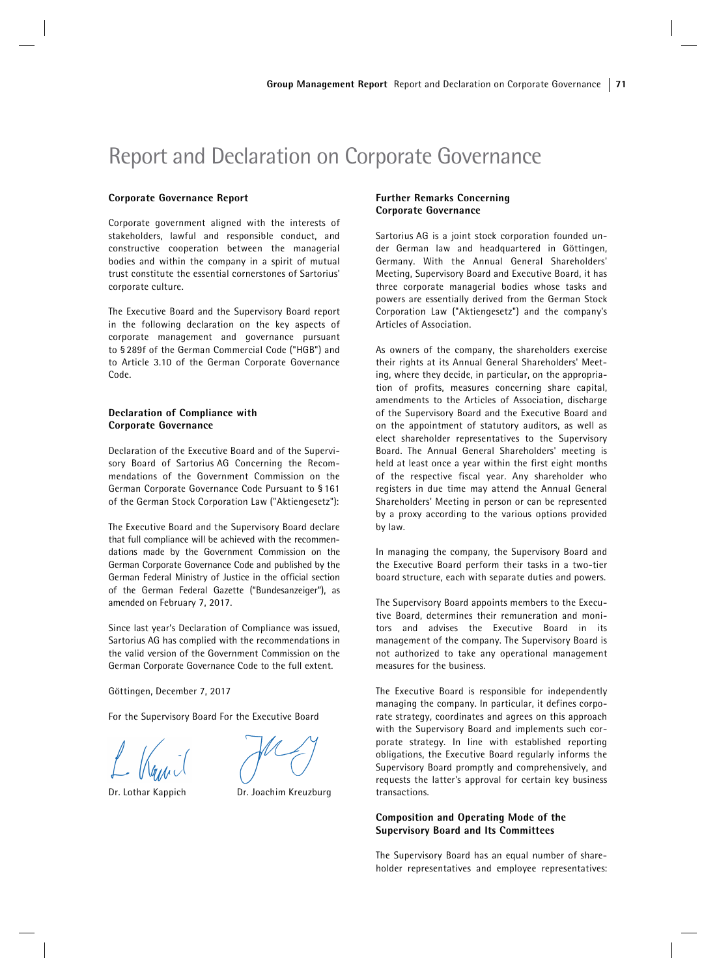# Report and Declaration on Corporate Governance

#### Corporate Governance Report

Corporate government aligned with the interests of stakeholders, lawful and responsible conduct, and constructive cooperation between the managerial bodies and within the company in a spirit of mutual trust constitute the essential cornerstones of Sartorius' corporate culture.

The Executive Board and the Supervisory Board report in the following declaration on the key aspects of corporate management and governance pursuant to § 289f of the German Commercial Code ("HGB") and to Article 3.10 of the German Corporate Governance Code.

# Declaration of Compliance with Corporate Governance

Declaration of the Executive Board and of the Supervisory Board of Sartorius AG Concerning the Recommendations of the Government Commission on the German Corporate Governance Code Pursuant to § 161 of the German Stock Corporation Law ("Aktiengesetz"):

The Executive Board and the Supervisory Board declare that full compliance will be achieved with the recommendations made by the Government Commission on the German Corporate Governance Code and published by the German Federal Ministry of Justice in the official section of the German Federal Gazette ("Bundesanzeiger"), as amended on February 7, 2017.

Since last year's Declaration of Compliance was issued, Sartorius AG has complied with the recommendations in the valid version of the Government Commission on the German Corporate Governance Code to the full extent.

Göttingen, December 7, 2017

For the Supervisory Board For the Executive Board



Dr. Lothar Kappich Dr. Joachim Kreuzburg

# Further Remarks Concerning Corporate Governance

Sartorius AG is a joint stock corporation founded under German law and headquartered in Göttingen, Germany. With the Annual General Shareholders' Meeting, Supervisory Board and Executive Board, it has three corporate managerial bodies whose tasks and powers are essentially derived from the German Stock Corporation Law ("Aktiengesetz") and the company's Articles of Association.

As owners of the company, the shareholders exercise their rights at its Annual General Shareholders' Meeting, where they decide, in particular, on the appropriation of profits, measures concerning share capital, amendments to the Articles of Association, discharge of the Supervisory Board and the Executive Board and on the appointment of statutory auditors, as well as elect shareholder representatives to the Supervisory Board. The Annual General Shareholders' meeting is held at least once a year within the first eight months of the respective fiscal year. Any shareholder who registers in due time may attend the Annual General Shareholders' Meeting in person or can be represented by a proxy according to the various options provided by law.

In managing the company, the Supervisory Board and the Executive Board perform their tasks in a two-tier board structure, each with separate duties and powers.

The Supervisory Board appoints members to the Executive Board, determines their remuneration and monitors and advises the Executive Board in its management of the company. The Supervisory Board is not authorized to take any operational management measures for the business.

The Executive Board is responsible for independently managing the company. In particular, it defines corporate strategy, coordinates and agrees on this approach with the Supervisory Board and implements such corporate strategy. In line with established reporting obligations, the Executive Board regularly informs the Supervisory Board promptly and comprehensively, and requests the latter's approval for certain key business transactions.

# Composition and Operating Mode of the Supervisory Board and Its Committees

The Supervisory Board has an equal number of shareholder representatives and employee representatives: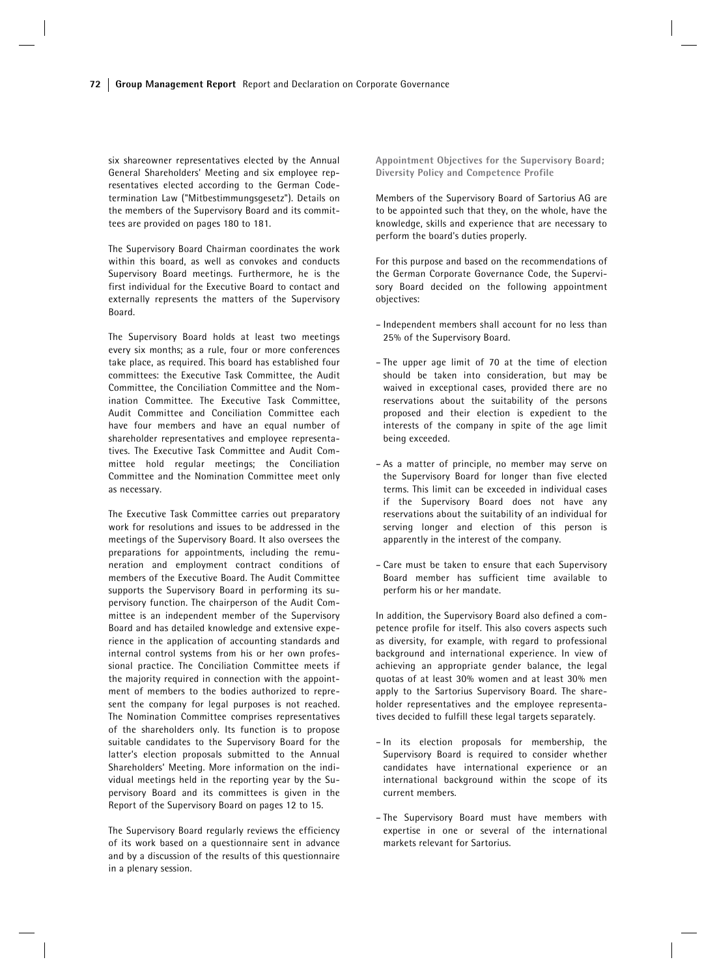six shareowner representatives elected by the Annual General Shareholders' Meeting and six employee representatives elected according to the German Codetermination Law ("Mitbestimmungsgesetz"). Details on the members of the Supervisory Board and its committees are provided on pages 180 to 181.

The Supervisory Board Chairman coordinates the work within this board, as well as convokes and conducts Supervisory Board meetings. Furthermore, he is the first individual for the Executive Board to contact and externally represents the matters of the Supervisory Board.

The Supervisory Board holds at least two meetings every six months; as a rule, four or more conferences take place, as required. This board has established four committees: the Executive Task Committee, the Audit Committee, the Conciliation Committee and the Nomination Committee. The Executive Task Committee, Audit Committee and Conciliation Committee each have four members and have an equal number of shareholder representatives and employee representatives. The Executive Task Committee and Audit Committee hold regular meetings; the Conciliation Committee and the Nomination Committee meet only as necessary.

The Executive Task Committee carries out preparatory work for resolutions and issues to be addressed in the meetings of the Supervisory Board. It also oversees the preparations for appointments, including the remuneration and employment contract conditions of members of the Executive Board. The Audit Committee supports the Supervisory Board in performing its supervisory function. The chairperson of the Audit Committee is an independent member of the Supervisory Board and has detailed knowledge and extensive experience in the application of accounting standards and internal control systems from his or her own professional practice. The Conciliation Committee meets if the majority required in connection with the appointment of members to the bodies authorized to represent the company for legal purposes is not reached. The Nomination Committee comprises representatives of the shareholders only. Its function is to propose suitable candidates to the Supervisory Board for the latter's election proposals submitted to the Annual Shareholders' Meeting. More information on the individual meetings held in the reporting year by the Supervisory Board and its committees is given in the Report of the Supervisory Board on pages 12 to 15.

The Supervisory Board regularly reviews the efficiency of its work based on a questionnaire sent in advance and by a discussion of the results of this questionnaire in a plenary session.

Appointment Objectives for the Supervisory Board; Diversity Policy and Competence Profile

Members of the Supervisory Board of Sartorius AG are to be appointed such that they, on the whole, have the knowledge, skills and experience that are necessary to perform the board's duties properly.

For this purpose and based on the recommendations of the German Corporate Governance Code, the Supervisory Board decided on the following appointment objectives:

- Independent members shall account for no less than 25% of the Supervisory Board.
- The upper age limit of 70 at the time of election should be taken into consideration, but may be waived in exceptional cases, provided there are no reservations about the suitability of the persons proposed and their election is expedient to the interests of the company in spite of the age limit being exceeded.
- As a matter of principle, no member may serve on the Supervisory Board for longer than five elected terms. This limit can be exceeded in individual cases if the Supervisory Board does not have any reservations about the suitability of an individual for serving longer and election of this person is apparently in the interest of the company.
- Care must be taken to ensure that each Supervisory Board member has sufficient time available to perform his or her mandate.

In addition, the Supervisory Board also defined a competence profile for itself. This also covers aspects such as diversity, for example, with regard to professional background and international experience. In view of achieving an appropriate gender balance, the legal quotas of at least 30% women and at least 30% men apply to the Sartorius Supervisory Board. The shareholder representatives and the employee representatives decided to fulfill these legal targets separately.

- In its election proposals for membership, the Supervisory Board is required to consider whether candidates have international experience or an international background within the scope of its current members.
- The Supervisory Board must have members with expertise in one or several of the international markets relevant for Sartorius.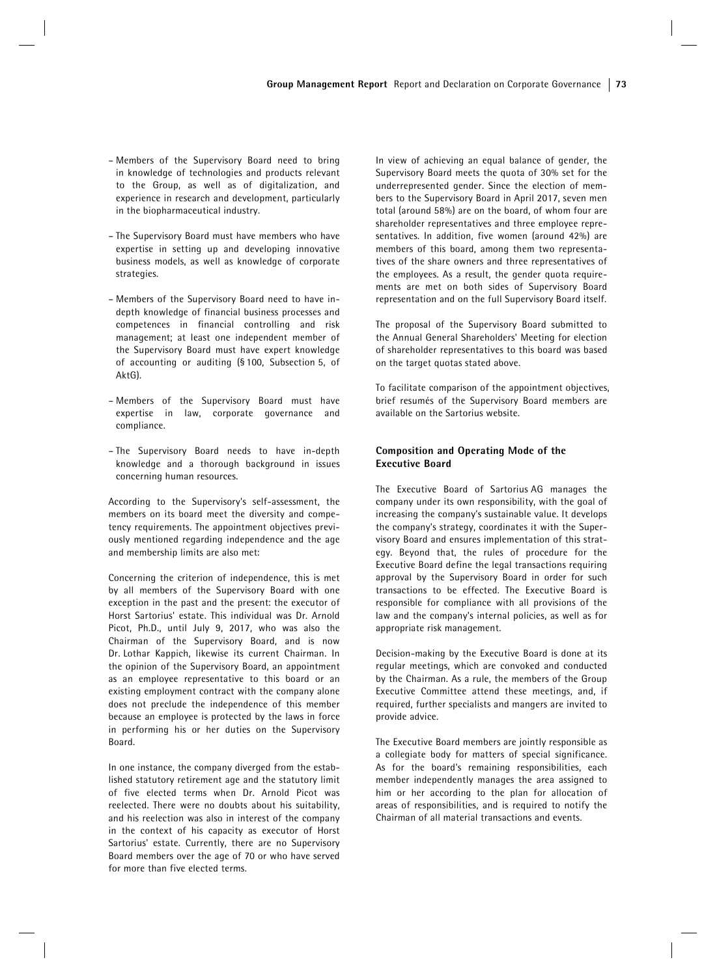- Members of the Supervisory Board need to bring in knowledge of technologies and products relevant to the Group, as well as of digitalization, and experience in research and development, particularly in the biopharmaceutical industry.
- The Supervisory Board must have members who have expertise in setting up and developing innovative business models, as well as knowledge of corporate strategies.
- Members of the Supervisory Board need to have indepth knowledge of financial business processes and competences in financial controlling and risk management; at least one independent member of the Supervisory Board must have expert knowledge of accounting or auditing (§ 100, Subsection 5, of AktG).
- Members of the Supervisory Board must have expertise in law, corporate governance and compliance.
- The Supervisory Board needs to have in-depth knowledge and a thorough background in issues concerning human resources.

According to the Supervisory's self-assessment, the members on its board meet the diversity and competency requirements. The appointment objectives previously mentioned regarding independence and the age and membership limits are also met:

Concerning the criterion of independence, this is met by all members of the Supervisory Board with one exception in the past and the present: the executor of Horst Sartorius' estate. This individual was Dr. Arnold Picot, Ph.D., until July 9, 2017, who was also the Chairman of the Supervisory Board, and is now Dr. Lothar Kappich, likewise its current Chairman. In the opinion of the Supervisory Board, an appointment as an employee representative to this board or an existing employment contract with the company alone does not preclude the independence of this member because an employee is protected by the laws in force in performing his or her duties on the Supervisory Board.

In one instance, the company diverged from the established statutory retirement age and the statutory limit of five elected terms when Dr. Arnold Picot was reelected. There were no doubts about his suitability, and his reelection was also in interest of the company in the context of his capacity as executor of Horst Sartorius' estate. Currently, there are no Supervisory Board members over the age of 70 or who have served for more than five elected terms.

In view of achieving an equal balance of gender, the Supervisory Board meets the quota of 30% set for the underrepresented gender. Since the election of members to the Supervisory Board in April 2017, seven men total (around 58%) are on the board, of whom four are shareholder representatives and three employee representatives. In addition, five women (around 42%) are members of this board, among them two representatives of the share owners and three representatives of the employees. As a result, the gender quota requirements are met on both sides of Supervisory Board representation and on the full Supervisory Board itself.

The proposal of the Supervisory Board submitted to the Annual General Shareholders' Meeting for election of shareholder representatives to this board was based on the target quotas stated above.

To facilitate comparison of the appointment objectives, brief resumés of the Supervisory Board members are available on the Sartorius website.

# Composition and Operating Mode of the Executive Board

The Executive Board of Sartorius AG manages the company under its own responsibility, with the goal of increasing the company's sustainable value. It develops the company's strategy, coordinates it with the Supervisory Board and ensures implementation of this strategy. Beyond that, the rules of procedure for the Executive Board define the legal transactions requiring approval by the Supervisory Board in order for such transactions to be effected. The Executive Board is responsible for compliance with all provisions of the law and the company's internal policies, as well as for appropriate risk management.

Decision-making by the Executive Board is done at its regular meetings, which are convoked and conducted by the Chairman. As a rule, the members of the Group Executive Committee attend these meetings, and, if required, further specialists and mangers are invited to provide advice.

The Executive Board members are jointly responsible as a collegiate body for matters of special significance. As for the board's remaining responsibilities, each member independently manages the area assigned to him or her according to the plan for allocation of areas of responsibilities, and is required to notify the Chairman of all material transactions and events.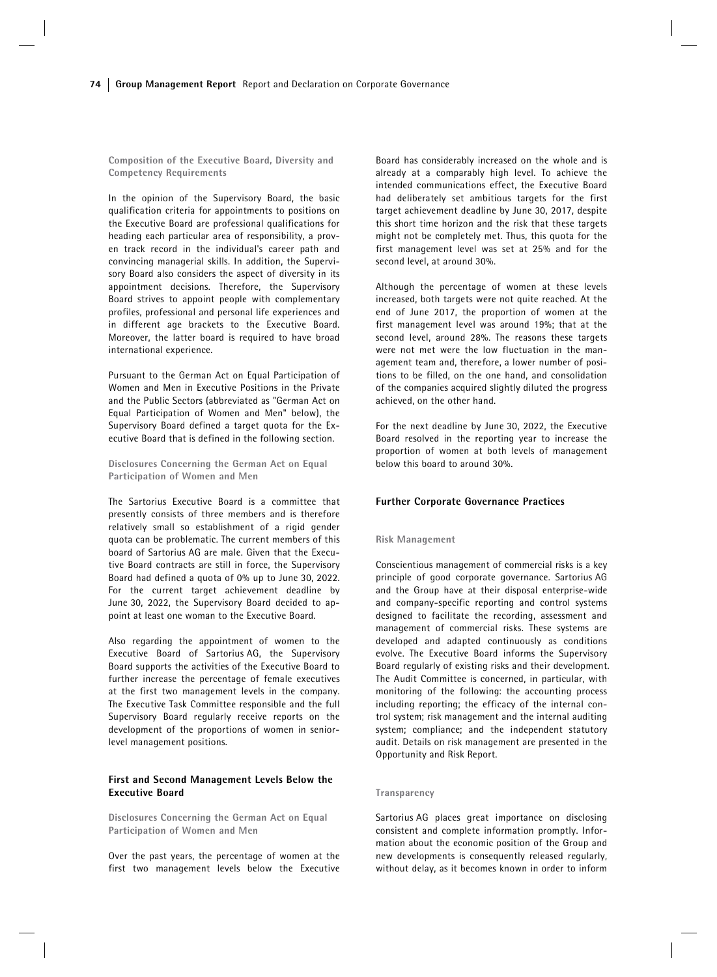Composition of the Executive Board, Diversity and Competency Requirements

In the opinion of the Supervisory Board, the basic qualification criteria for appointments to positions on the Executive Board are professional qualifications for heading each particular area of responsibility, a proven track record in the individual's career path and convincing managerial skills. In addition, the Supervisory Board also considers the aspect of diversity in its appointment decisions. Therefore, the Supervisory Board strives to appoint people with complementary profiles, professional and personal life experiences and in different age brackets to the Executive Board. Moreover, the latter board is required to have broad international experience.

Pursuant to the German Act on Equal Participation of Women and Men in Executive Positions in the Private and the Public Sectors (abbreviated as "German Act on Equal Participation of Women and Men" below), the Supervisory Board defined a target quota for the Executive Board that is defined in the following section.

Disclosures Concerning the German Act on Equal Participation of Women and Men

The Sartorius Executive Board is a committee that presently consists of three members and is therefore relatively small so establishment of a rigid gender quota can be problematic. The current members of this board of Sartorius AG are male. Given that the Executive Board contracts are still in force, the Supervisory Board had defined a quota of 0% up to June 30, 2022. For the current target achievement deadline by June 30, 2022, the Supervisory Board decided to appoint at least one woman to the Executive Board.

Also regarding the appointment of women to the Executive Board of Sartorius AG, the Supervisory Board supports the activities of the Executive Board to further increase the percentage of female executives at the first two management levels in the company. The Executive Task Committee responsible and the full Supervisory Board regularly receive reports on the development of the proportions of women in seniorlevel management positions.

## First and Second Management Levels Below the Executive Board

Disclosures Concerning the German Act on Equal Participation of Women and Men

Over the past years, the percentage of women at the first two management levels below the Executive

Board has considerably increased on the whole and is already at a comparably high level. To achieve the intended communications effect, the Executive Board had deliberately set ambitious targets for the first target achievement deadline by June 30, 2017, despite this short time horizon and the risk that these targets might not be completely met. Thus, this quota for the first management level was set at 25% and for the second level, at around 30%.

Although the percentage of women at these levels increased, both targets were not quite reached. At the end of June 2017, the proportion of women at the first management level was around 19%; that at the second level, around 28%. The reasons these targets were not met were the low fluctuation in the management team and, therefore, a lower number of positions to be filled, on the one hand, and consolidation of the companies acquired slightly diluted the progress achieved, on the other hand.

For the next deadline by June 30, 2022, the Executive Board resolved in the reporting year to increase the proportion of women at both levels of management below this board to around 30%.

## Further Corporate Governance Practices

#### Risk Management

Conscientious management of commercial risks is a key principle of good corporate governance. Sartorius AG and the Group have at their disposal enterprise-wide and company-specific reporting and control systems designed to facilitate the recording, assessment and management of commercial risks. These systems are developed and adapted continuously as conditions evolve. The Executive Board informs the Supervisory Board regularly of existing risks and their development. The Audit Committee is concerned, in particular, with monitoring of the following: the accounting process including reporting; the efficacy of the internal control system; risk management and the internal auditing system; compliance; and the independent statutory audit. Details on risk management are presented in the Opportunity and Risk Report.

#### Transparency

Sartorius AG places great importance on disclosing consistent and complete information promptly. Information about the economic position of the Group and new developments is consequently released regularly, without delay, as it becomes known in order to inform